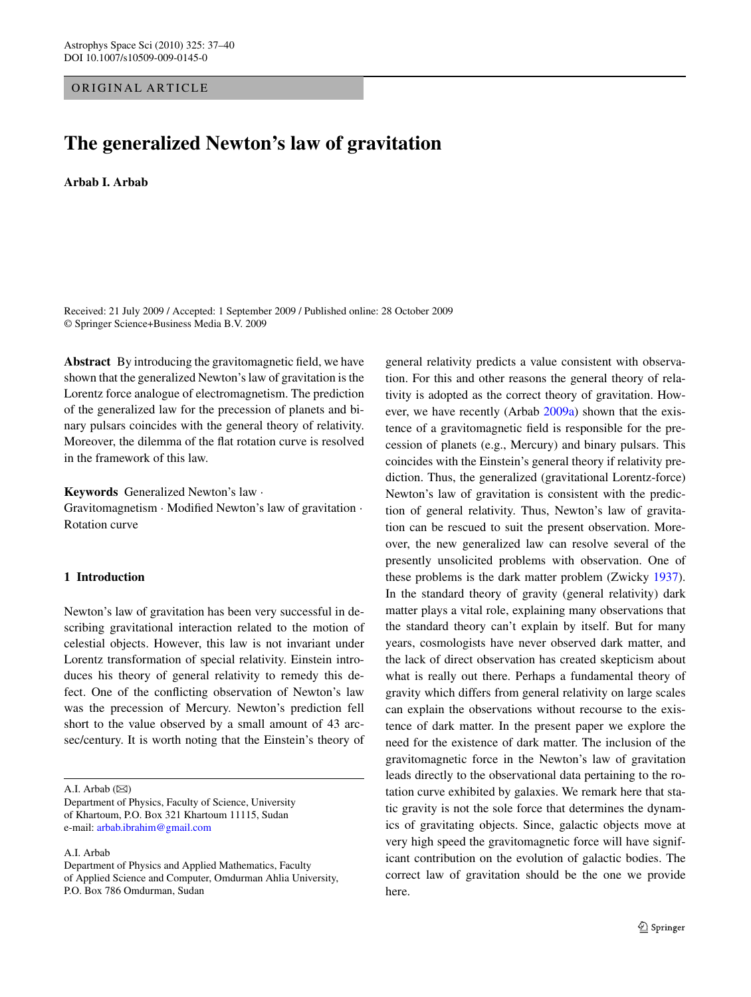## ORIGINAL ARTICLE

# **The generalized Newton's law of gravitation**

#### **Arbab I. Arbab**

Received: 21 July 2009 / Accepted: 1 September 2009 / Published online: 28 October 2009 © Springer Science+Business Media B.V. 2009

**Abstract** By introducing the gravitomagnetic field, we have shown that the generalized Newton's law of gravitation is the Lorentz force analogue of electromagnetism. The prediction of the generalized law for the precession of planets and binary pulsars coincides with the general theory of relativity. Moreover, the dilemma of the flat rotation curve is resolved in the framework of this law.

**Keywords** Generalized Newton's law ·

Gravitomagnetism · Modified Newton's law of gravitation · Rotation curve

### **1 Introduction**

Newton's law of gravitation has been very successful in describing gravitational interaction related to the motion of celestial objects. However, this law is not invariant under Lorentz transformation of special relativity. Einstein introduces his theory of general relativity to remedy this defect. One of the conflicting observation of Newton's law was the precession of Mercury. Newton's prediction fell short to the value observed by a small amount of 43 arcsec/century. It is worth noting that the Einstein's theory of

A.I. Arbab  $(\boxtimes)$ 

A.I. Arbab

general relativity predicts a value consistent with observation. For this and other reasons the general theory of relativity is adopted as the correct theory of gravitation. However, we have recently (Arbab [2009a\)](#page-2-0) shown that the existence of a gravitomagnetic field is responsible for the precession of planets (e.g., Mercury) and binary pulsars. This coincides with the Einstein's general theory if relativity prediction. Thus, the generalized (gravitational Lorentz-force) Newton's law of gravitation is consistent with the prediction of general relativity. Thus, Newton's law of gravitation can be rescued to suit the present observation. Moreover, the new generalized law can resolve several of the presently unsolicited problems with observation. One of these problems is the dark matter problem (Zwicky [1937](#page-3-0)). In the standard theory of gravity (general relativity) dark matter plays a vital role, explaining many observations that the standard theory can't explain by itself. But for many years, cosmologists have never observed dark matter, and the lack of direct observation has created skepticism about what is really out there. Perhaps a fundamental theory of gravity which differs from general relativity on large scales can explain the observations without recourse to the existence of dark matter. In the present paper we explore the need for the existence of dark matter. The inclusion of the gravitomagnetic force in the Newton's law of gravitation leads directly to the observational data pertaining to the rotation curve exhibited by galaxies. We remark here that static gravity is not the sole force that determines the dynamics of gravitating objects. Since, galactic objects move at very high speed the gravitomagnetic force will have significant contribution on the evolution of galactic bodies. The correct law of gravitation should be the one we provide here.

Department of Physics, Faculty of Science, University of Khartoum, P.O. Box 321 Khartoum 11115, Sudan e-mail: [arbab.ibrahim@gmail.com](mailto:arbab.ibrahim@gmail.com)

Department of Physics and Applied Mathematics, Faculty of Applied Science and Computer, Omdurman Ahlia University, P.O. Box 786 Omdurman, Sudan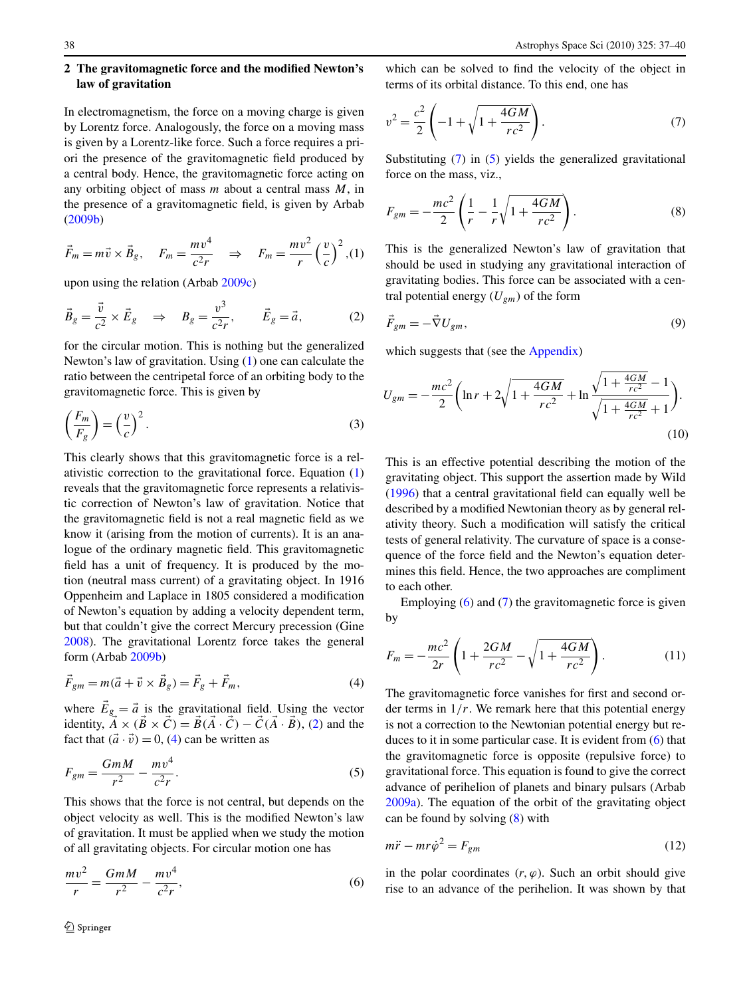<span id="page-1-0"></span>In electromagnetism, the force on a moving charge is given by Lorentz force. Analogously, the force on a moving mass is given by a Lorentz-like force. Such a force requires a priori the presence of the gravitomagnetic field produced by a central body. Hence, the gravitomagnetic force acting on any orbiting object of mass *m* about a central mass *M*, in the presence of a gravitomagnetic field, is given by Arbab [\(2009b](#page-2-0))

$$
\vec{F}_m = m\vec{v} \times \vec{B}_g, \quad F_m = \frac{mv^4}{c^2r} \quad \Rightarrow \quad F_m = \frac{mv^2}{r} \left(\frac{v}{c}\right)^2, (1)
$$

upon using the relation (Arbab [2009c\)](#page-2-0)

$$
\vec{B}_g = \frac{\vec{v}}{c^2} \times \vec{E}_g \quad \Rightarrow \quad B_g = \frac{v^3}{c^2 r}, \qquad \vec{E}_g = \vec{a}, \tag{2}
$$

for the circular motion. This is nothing but the generalized Newton's law of gravitation. Using (1) one can calculate the ratio between the centripetal force of an orbiting body to the gravitomagnetic force. This is given by

$$
\left(\frac{F_m}{F_g}\right) = \left(\frac{v}{c}\right)^2.
$$
\n(3)

This clearly shows that this gravitomagnetic force is a relativistic correction to the gravitational force. Equation (1) reveals that the gravitomagnetic force represents a relativistic correction of Newton's law of gravitation. Notice that the gravitomagnetic field is not a real magnetic field as we know it (arising from the motion of currents). It is an analogue of the ordinary magnetic field. This gravitomagnetic field has a unit of frequency. It is produced by the motion (neutral mass current) of a gravitating object. In 1916 Oppenheim and Laplace in 1805 considered a modification of Newton's equation by adding a velocity dependent term, but that couldn't give the correct Mercury precession (Gine [2008\)](#page-2-0). The gravitational Lorentz force takes the general form (Arbab [2009b](#page-2-0))

$$
\vec{F}_{gm} = m(\vec{a} + \vec{v} \times \vec{B}_g) = \vec{F}_g + \vec{F}_m,
$$
\n(4)

where  $\vec{E}_g = \vec{a}$  is the gravitational field. Using the vector identity,  $\vec{A} \times (\vec{B} \times \vec{C}) = \vec{B}(\vec{A} \cdot \vec{C}) - \vec{C}(\vec{A} \cdot \vec{B})$ , (2) and the fact that  $(\vec{a} \cdot \vec{v}) = 0$ , (4) can be written as

$$
F_{gm} = \frac{GmM}{r^2} - \frac{mv^4}{c^2r}.
$$
\n<sup>(5)</sup>

This shows that the force is not central, but depends on the object velocity as well. This is the modified Newton's law of gravitation. It must be applied when we study the motion of all gravitating objects. For circular motion one has

$$
\frac{mv^2}{r} = \frac{GmM}{r^2} - \frac{mv^4}{c^2r},
$$
\n(6)

which can be solved to find the velocity of the object in terms of its orbital distance. To this end, one has

$$
v^{2} = \frac{c^{2}}{2} \left( -1 + \sqrt{1 + \frac{4GM}{rc^{2}}} \right).
$$
 (7)

Substituting (7) in (5) yields the generalized gravitational force on the mass, viz.,

$$
F_{gm} = -\frac{mc^2}{2} \left( \frac{1}{r} - \frac{1}{r} \sqrt{1 + \frac{4GM}{rc^2}} \right). \tag{8}
$$

This is the generalized Newton's law of gravitation that should be used in studying any gravitational interaction of gravitating bodies. This force can be associated with a central potential energy  $(U_{gm})$  of the form

$$
\vec{F}_{gm} = -\vec{\nabla} U_{gm},\tag{9}
$$

which suggests that (see the [Appendix\)](#page-2-0)

$$
U_{gm} = -\frac{mc^2}{2} \left( \ln r + 2\sqrt{1 + \frac{4GM}{rc^2}} + \ln \frac{\sqrt{1 + \frac{4GM}{rc^2}} - 1}{\sqrt{1 + \frac{4GM}{rc^2}} + 1} \right).
$$
\n(10)

This is an effective potential describing the motion of the gravitating object. This support the assertion made by Wild [\(1996](#page-3-0)) that a central gravitational field can equally well be described by a modified Newtonian theory as by general relativity theory. Such a modification will satisfy the critical tests of general relativity. The curvature of space is a consequence of the force field and the Newton's equation determines this field. Hence, the two approaches are compliment to each other.

Employing  $(6)$  and  $(7)$  the gravitomagnetic force is given by

$$
F_m = -\frac{mc^2}{2r} \left( 1 + \frac{2GM}{rc^2} - \sqrt{1 + \frac{4GM}{rc^2}} \right). \tag{11}
$$

The gravitomagnetic force vanishes for first and second order terms in  $1/r$ . We remark here that this potential energy is not a correction to the Newtonian potential energy but reduces to it in some particular case. It is evident from (6) that the gravitomagnetic force is opposite (repulsive force) to gravitational force. This equation is found to give the correct advance of perihelion of planets and binary pulsars (Arbab [2009a](#page-2-0)). The equation of the orbit of the gravitating object can be found by solving (8) with

$$
m\ddot{r} - mr\dot{\varphi}^2 = F_{gm} \tag{12}
$$

in the polar coordinates  $(r, \varphi)$ . Such an orbit should give rise to an advance of the perihelion. It was shown by that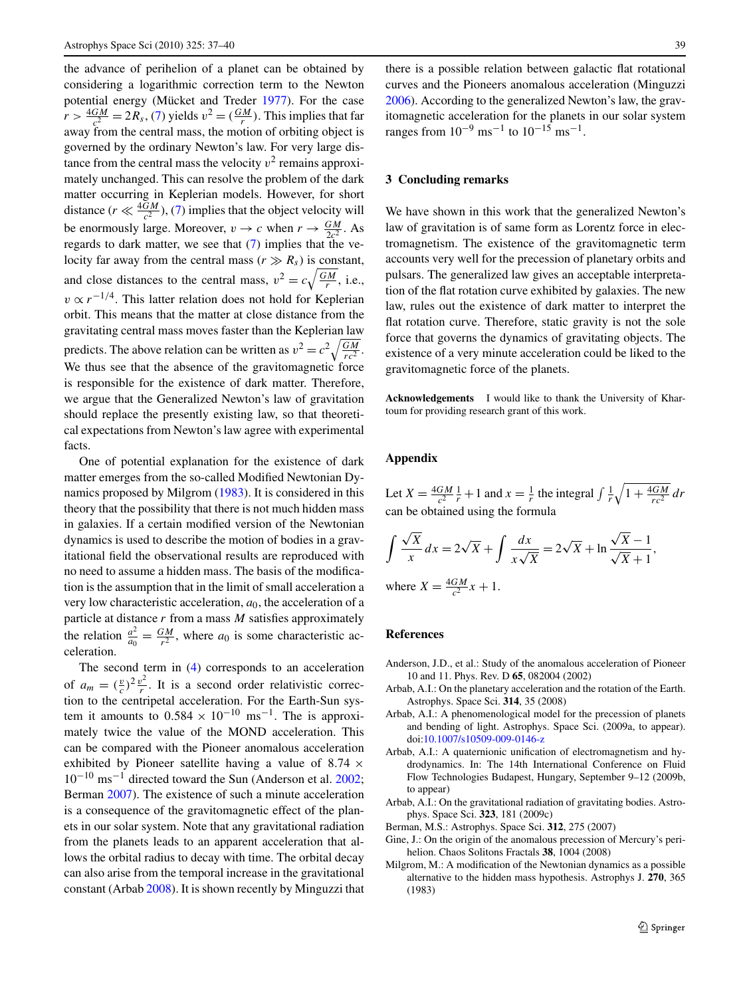<span id="page-2-0"></span>the advance of perihelion of a planet can be obtained by considering a logarithmic correction term to the Newton potential energy (Mücket and Treder [1977\)](#page-3-0). For the case  $r > \frac{4GM}{c^2} = 2R_s$ , [\(7](#page-1-0)) yields  $v^2 = (\frac{GM}{r})$ . This implies that far away from the central mass, the motion of orbiting object is governed by the ordinary Newton's law. For very large distance from the central mass the velocity  $v^2$  remains approximately unchanged. This can resolve the problem of the dark matter occurring in Keplerian models. However, for short distance  $(r \ll \frac{4GM}{c^2})$ , ([7\)](#page-1-0) implies that the object velocity will be enormously large. Moreover,  $v \to c$  when  $r \to \frac{GM}{2c^2}$ . As regards to dark matter, we see that  $(7)$  $(7)$  implies that the velocity far away from the central mass ( $r \gg R_s$ ) is constant, and close distances to the central mass,  $v^2 = c \sqrt{\frac{GM}{r}}$ , i.e.,  $v \propto r^{-1/4}$ . This latter relation does not hold for Keplerian orbit. This means that the matter at close distance from the gravitating central mass moves faster than the Keplerian law predicts. The above relation can be written as  $v^2 = c^2 \sqrt{\frac{GM}{rc^2}}$ . We thus see that the absence of the gravitomagnetic force is responsible for the existence of dark matter. Therefore, we argue that the Generalized Newton's law of gravitation should replace the presently existing law, so that theoretical expectations from Newton's law agree with experimental facts.

One of potential explanation for the existence of dark matter emerges from the so-called Modified Newtonian Dynamics proposed by Milgrom (1983). It is considered in this theory that the possibility that there is not much hidden mass in galaxies. If a certain modified version of the Newtonian dynamics is used to describe the motion of bodies in a gravitational field the observational results are reproduced with no need to assume a hidden mass. The basis of the modification is the assumption that in the limit of small acceleration a very low characteristic acceleration, *a*0, the acceleration of a particle at distance *r* from a mass *M* satisfies approximately the relation  $\frac{a^2}{a_0} = \frac{GM}{r^2}$ , where  $a_0$  is some characteristic acceleration.

The second term in [\(4](#page-1-0)) corresponds to an acceleration of  $a_m = \left(\frac{v}{c}\right)^2 \frac{v^2}{r}$ . It is a second order relativistic correction to the centripetal acceleration. For the Earth-Sun system it amounts to  $0.584 \times 10^{-10}$  ms<sup>-1</sup>. The is approximately twice the value of the MOND acceleration. This can be compared with the Pioneer anomalous acceleration exhibited by Pioneer satellite having a value of 8*.*74 ×  $10^{-10}$  ms<sup>-1</sup> directed toward the Sun (Anderson et al. 2002; Berman 2007). The existence of such a minute acceleration is a consequence of the gravitomagnetic effect of the planets in our solar system. Note that any gravitational radiation from the planets leads to an apparent acceleration that allows the orbital radius to decay with time. The orbital decay can also arise from the temporal increase in the gravitational constant (Arbab 2008). It is shown recently by Minguzzi that there is a possible relation between galactic flat rotational curves and the Pioneers anomalous acceleration (Minguzzi [2006\)](#page-3-0). According to the generalized Newton's law, the gravitomagnetic acceleration for the planets in our solar system ranges from  $10^{-9}$  ms<sup>-1</sup> to  $10^{-15}$  ms<sup>-1</sup>.

### **3 Concluding remarks**

We have shown in this work that the generalized Newton's law of gravitation is of same form as Lorentz force in electromagnetism. The existence of the gravitomagnetic term accounts very well for the precession of planetary orbits and pulsars. The generalized law gives an acceptable interpretation of the flat rotation curve exhibited by galaxies. The new law, rules out the existence of dark matter to interpret the flat rotation curve. Therefore, static gravity is not the sole force that governs the dynamics of gravitating objects. The existence of a very minute acceleration could be liked to the gravitomagnetic force of the planets.

**Acknowledgements** I would like to thank the University of Khartoum for providing research grant of this work.

#### **Appendix**

Let  $X = \frac{4GM}{c^2} \frac{1}{r} + 1$  and  $x = \frac{1}{r}$  the integral  $\int \frac{1}{r} \sqrt{1 + \frac{4GM}{rc^2}} dr$ can be obtained using the formula

$$
\int \frac{\sqrt{X}}{x} dx = 2\sqrt{X} + \int \frac{dx}{x\sqrt{X}} = 2\sqrt{X} + \ln \frac{\sqrt{X} - 1}{\sqrt{X} + 1},
$$
  
where  $X = \frac{4GM}{c^2}x + 1$ .

#### **References**

- Anderson, J.D., et al.: Study of the anomalous acceleration of Pioneer 10 and 11. Phys. Rev. D **65**, 082004 (2002)
- Arbab, A.I.: On the planetary acceleration and the rotation of the Earth. Astrophys. Space Sci. **314**, 35 (2008)
- Arbab, A.I.: A phenomenological model for the precession of planets and bending of light. Astrophys. Space Sci. (2009a, to appear). doi:[10.1007/s10509-009-0146-z](http://dx.doi.org/10.1007/s10509-009-0146-z)
- Arbab, A.I.: A quaternionic unification of electromagnetism and hydrodynamics. In: The 14th International Conference on Fluid Flow Technologies Budapest, Hungary, September 9–12 (2009b, to appear)
- Arbab, A.I.: On the gravitational radiation of gravitating bodies. Astrophys. Space Sci. **323**, 181 (2009c)
- Berman, M.S.: Astrophys. Space Sci. **312**, 275 (2007)
- Gine, J.: On the origin of the anomalous precession of Mercury's perihelion. Chaos Solitons Fractals **38**, 1004 (2008)
- Milgrom, M.: A modification of the Newtonian dynamics as a possible alternative to the hidden mass hypothesis. Astrophys J. **270**, 365 (1983)